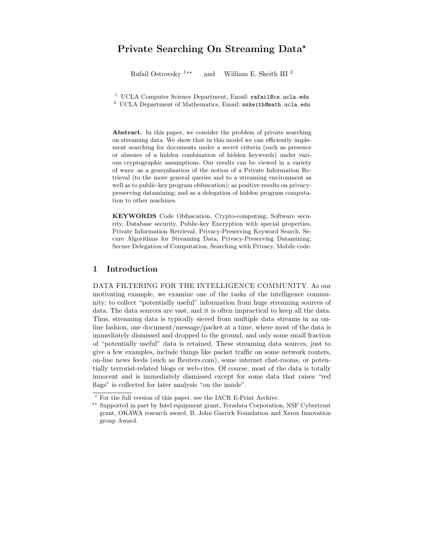# Private Searching On Streaming Data\*

Rafail Ostrovsky  $1**$  and William E. Skeith III<sup>2</sup>

<sup>1</sup> UCLA Computer Science Department, Email: rafail@cs.ucla.edu

 $2$  UCLA Department of Mathematics, Email: wskeith@math.ucla.edu

Abstract. In this paper, we consider the problem of private searching on streaming data. We show that in this model we can efficiently implement searching for documents under a secret criteria (such as presence or absence of a hidden combination of hidden keywords) under various cryptographic assumptions. Our results can be viewed in a variety of ways: as a generalization of the notion of a Private Information Retrieval (to the more general queries and to a streaming environment as well as to public-key program obfuscation); as positive results on privacypreserving datamining; and as a delegation of hidden program computation to other machines.

KEYWORDS Code Obfuscation, Crypto-computing, Software security, Database security, Public-key Encryption with special properties, Private Information Retrieval, Privacy-Preserving Keyword Search, Secure Algorithms for Streaming Data, Privacy-Preserving Datamining, Secure Delegation of Computation, Searching with Privacy, Mobile code.

# 1 Introduction

DATA FILTERING FOR THE INTELLIGENCE COMMUNITY. As our motivating example, we examine one of the tasks of the intelligence community: to collect "potentially useful" information from huge streaming sources of data. The data sources are vast, and it is often impractical to keep all the data. Thus, streaming data is typically sieved from multiple data streams in an online fashion, one document/message/packet at a time, where most of the data is immediately dismissed and dropped to the ground, and only some small fraction of "potentially useful" data is retained. These streaming data sources, just to give a few examples, include things like packet traffic on some network routers, on-line news feeds (such as Reuters.com), some internet chat-rooms, or potentially terrorist-related blogs or web-cites. Of course, most of the data is totally innocent and is immediately dismissed except for some data that raises "red flags" is collected for later analysis "on the inside".

<sup>?</sup> For the full version of this paper, see the IACR E-Print Archive.

<sup>\*\*</sup> Supported in part by Intel equipment grant, Teradata Corporation, NSF Cybertrust grant, OKAWA research award, B. John Garrick Foundation and Xerox Innovation group Award.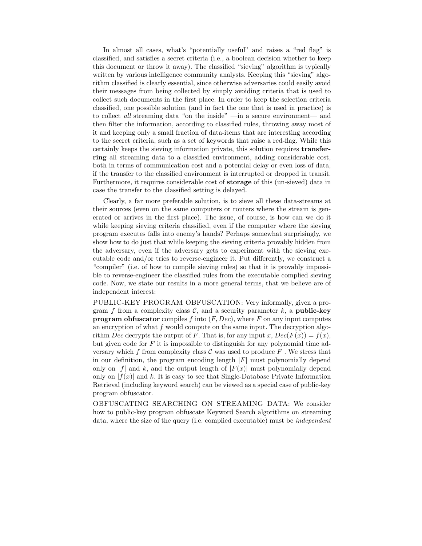In almost all cases, what's "potentially useful" and raises a "red flag" is classified, and satisfies a secret criteria (i.e., a boolean decision whether to keep this document or throw it away). The classified "sieving" algorithm is typically written by various intelligence community analysts. Keeping this "sieving" algorithm classified is clearly essential, since otherwise adversaries could easily avoid their messages from being collected by simply avoiding criteria that is used to collect such documents in the first place. In order to keep the selection criteria classified, one possible solution (and in fact the one that is used in practice) is to collect all streaming data "on the inside" —in a secure environment— and then filter the information, according to classified rules, throwing away most of it and keeping only a small fraction of data-items that are interesting according to the secret criteria, such as a set of keywords that raise a red-flag. While this certainly keeps the sieving information private, this solution requires transferring all streaming data to a classified environment, adding considerable cost, both in terms of communication cost and a potential delay or even loss of data, if the transfer to the classified environment is interrupted or dropped in transit. Furthermore, it requires considerable cost of storage of this (un-sieved) data in case the transfer to the classified setting is delayed.

Clearly, a far more preferable solution, is to sieve all these data-streams at their sources (even on the same computers or routers where the stream is generated or arrives in the first place). The issue, of course, is how can we do it while keeping sieving criteria classified, even if the computer where the sieving program executes falls into enemy's hands? Perhaps somewhat surprisingly, we show how to do just that while keeping the sieving criteria provably hidden from the adversary, even if the adversary gets to experiment with the sieving executable code and/or tries to reverse-engineer it. Put differently, we construct a "compiler" (i.e. of how to compile sieving rules) so that it is provably impossible to reverse-engineer the classified rules from the executable complied sieving code. Now, we state our results in a more general terms, that we believe are of independent interest:

PUBLIC-KEY PROGRAM OBFUSCATION: Very informally, given a program f from a complexity class  $\mathcal{C}$ , and a security parameter k, a **public-key program obfuscator** compiles f into  $(F, Dec)$ , where F on any input computes an encryption of what  $f$  would compute on the same input. The decryption algorithm Dec decrypts the output of F. That is, for any input x,  $Dec(F(x)) = f(x)$ , but given code for  $F$  it is impossible to distinguish for any polynomial time adversary which f from complexity class  $\mathcal C$  was used to produce  $F$ . We stress that in our definition, the program encoding length  $|F|$  must polynomially depend only on  $|f|$  and k, and the output length of  $|F(x)|$  must polynomially depend only on  $|f(x)|$  and k. It is easy to see that Single-Database Private Information Retrieval (including keyword search) can be viewed as a special case of public-key program obfuscator.

OBFUSCATING SEARCHING ON STREAMING DATA: We consider how to public-key program obfuscate Keyword Search algorithms on streaming data, where the size of the query (i.e. complied executable) must be *independent*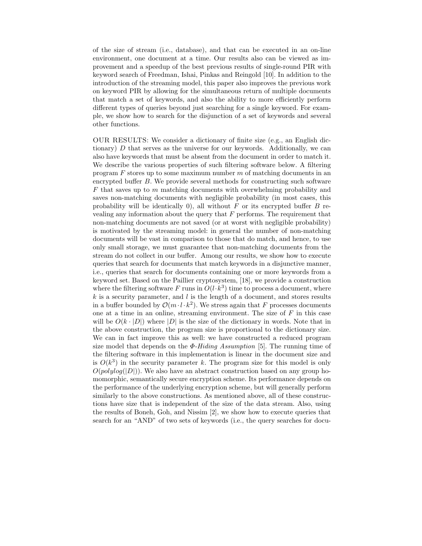of the size of stream (i.e., database), and that can be executed in an on-line environment, one document at a time. Our results also can be viewed as improvement and a speedup of the best previous results of single-round PIR with keyword search of Freedman, Ishai, Pinkas and Reingold [10]. In addition to the introduction of the streaming model, this paper also improves the previous work on keyword PIR by allowing for the simultaneous return of multiple documents that match a set of keywords, and also the ability to more efficiently perform different types of queries beyond just searching for a single keyword. For example, we show how to search for the disjunction of a set of keywords and several other functions.

OUR RESULTS: We consider a dictionary of finite size (e.g., an English dictionary)  $D$  that serves as the universe for our keywords. Additionally, we can also have keywords that must be absent from the document in order to match it. We describe the various properties of such filtering software below. A filtering program  $F$  stores up to some maximum number  $m$  of matching documents in an encrypted buffer B. We provide several methods for constructing such software  $F$  that saves up to  $m$  matching documents with overwhelming probability and saves non-matching documents with negligible probability (in most cases, this probability will be identically 0), all without  $F$  or its encrypted buffer  $B$  revealing any information about the query that  $F$  performs. The requirement that non-matching documents are not saved (or at worst with negligible probability) is motivated by the streaming model: in general the number of non-matching documents will be vast in comparison to those that do match, and hence, to use only small storage, we must guarantee that non-matching documents from the stream do not collect in our buffer. Among our results, we show how to execute queries that search for documents that match keywords in a disjunctive manner, i.e., queries that search for documents containing one or more keywords from a keyword set. Based on the Paillier cryptosystem, [18], we provide a construction where the filtering software F runs in  $O(l \cdot k^3)$  time to process a document, where k is a security parameter, and l is the length of a document, and stores results in a buffer bounded by  $\mathcal{O}(m \cdot l \cdot k^2)$ . We stress again that F processes documents one at a time in an online, streaming environment. The size of  $F$  in this case will be  $O(k \cdot |D|)$  where  $|D|$  is the size of the dictionary in words. Note that in the above construction, the program size is proportional to the dictionary size. We can in fact improve this as well: we have constructed a reduced program size model that depends on the  $\Phi$ -Hiding Assumption [5]. The running time of the filtering software in this implementation is linear in the document size and is  $O(k^3)$  in the security parameter k. The program size for this model is only  $O(polylog(|D|))$ . We also have an abstract construction based on any group homomorphic, semantically secure encryption scheme. Its performance depends on the performance of the underlying encryption scheme, but will generally perform similarly to the above constructions. As mentioned above, all of these constructions have size that is independent of the size of the data stream. Also, using the results of Boneh, Goh, and Nissim [2], we show how to execute queries that search for an "AND" of two sets of keywords (i.e., the query searches for docu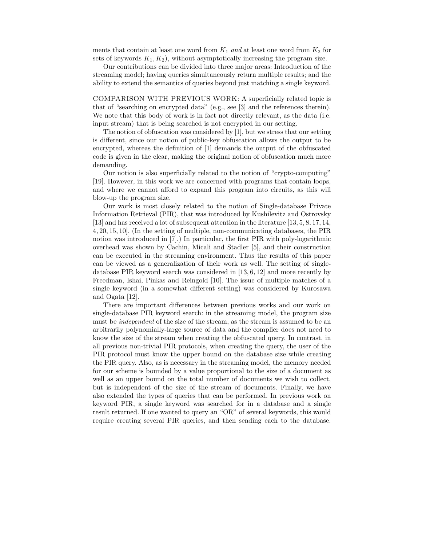ments that contain at least one word from  $K_1$  and at least one word from  $K_2$  for sets of keywords  $K_1, K_2$ , without asymptotically increasing the program size.

Our contributions can be divided into three major areas: Introduction of the streaming model; having queries simultaneously return multiple results; and the ability to extend the semantics of queries beyond just matching a single keyword.

COMPARISON WITH PREVIOUS WORK: A superficially related topic is that of "searching on encrypted data" (e.g., see [3] and the references therein). We note that this body of work is in fact not directly relevant, as the data (i.e. input stream) that is being searched is not encrypted in our setting.

The notion of obfuscation was considered by [1], but we stress that our setting is different, since our notion of public-key obfuscation allows the output to be encrypted, whereas the definition of [1] demands the output of the obfuscated code is given in the clear, making the original notion of obfuscation much more demanding.

Our notion is also superficially related to the notion of "crypto-computing" [19]. However, in this work we are concerned with programs that contain loops, and where we cannot afford to expand this program into circuits, as this will blow-up the program size.

Our work is most closely related to the notion of Single-database Private Information Retrieval (PIR), that was introduced by Kushilevitz and Ostrovsky [13] and has received a lot of subsequent attention in the literature [13, 5, 8, 17, 14, 4, 20, 15, 10]. (In the setting of multiple, non-communicating databases, the PIR notion was introduced in [7].) In particular, the first PIR with poly-logarithmic overhead was shown by Cachin, Micali and Stadler [5], and their construction can be executed in the streaming environment. Thus the results of this paper can be viewed as a generalization of their work as well. The setting of singledatabase PIR keyword search was considered in [13, 6, 12] and more recently by Freedman, Ishai, Pinkas and Reingold [10]. The issue of multiple matches of a single keyword (in a somewhat different setting) was considered by Kurosawa and Ogata [12].

There are important differences between previous works and our work on single-database PIR keyword search: in the streaming model, the program size must be *independent* of the size of the stream, as the stream is assumed to be an arbitrarily polynomially-large source of data and the complier does not need to know the size of the stream when creating the obfuscated query. In contrast, in all previous non-trivial PIR protocols, when creating the query, the user of the PIR protocol must know the upper bound on the database size while creating the PIR query. Also, as is necessary in the streaming model, the memory needed for our scheme is bounded by a value proportional to the size of a document as well as an upper bound on the total number of documents we wish to collect, but is independent of the size of the stream of documents. Finally, we have also extended the types of queries that can be performed. In previous work on keyword PIR, a single keyword was searched for in a database and a single result returned. If one wanted to query an "OR" of several keywords, this would require creating several PIR queries, and then sending each to the database.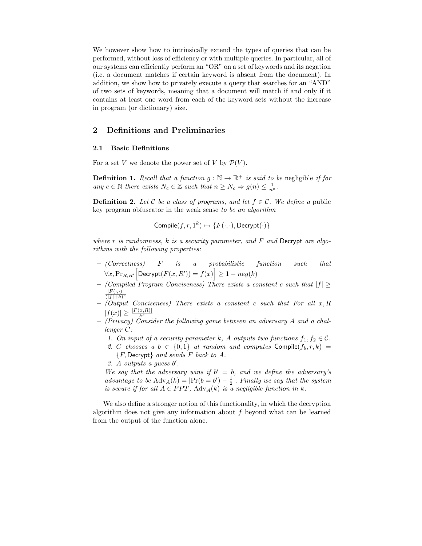We however show how to intrinsically extend the types of queries that can be performed, without loss of efficiency or with multiple queries. In particular, all of our systems can efficiently perform an "OR" on a set of keywords and its negation (i.e. a document matches if certain keyword is absent from the document). In addition, we show how to privately execute a query that searches for an "AND" of two sets of keywords, meaning that a document will match if and only if it contains at least one word from each of the keyword sets without the increase in program (or dictionary) size.

## 2 Definitions and Preliminaries

#### 2.1 Basic Definitions

For a set V we denote the power set of V by  $\mathcal{P}(V)$ .

**Definition 1.** Recall that a function  $g : \mathbb{N} \to \mathbb{R}^+$  is said to be negligible if for any  $c \in \mathbb{N}$  there exists  $N_c \in \mathbb{Z}$  such that  $n \geq N_c \Rightarrow g(n) \leq \frac{1}{n^c}$ .

**Definition 2.** Let C be a class of programs, and let  $f \in \mathcal{C}$ . We define a public key program obfuscator in the weak sense to be an algorithm

$$
Complete(f, r, 1^k) \mapsto \{F(\cdot, \cdot), \mathsf{Decrypt}(\cdot)\}
$$

where  $r$  is randomness,  $k$  is a security parameter, and  $F$  and Decrypt are algorithms with the following properties:

- (Correctness) F is a probabilistic function such that  $\forall x, \Pr_{R,R'} \left[ \mathsf{Decrypt}(F(x,R')) = f(x) \right] \geq 1 - neg(k)$
- $–$  (Compiled Program Conciseness) There exists a constant c such that  $|f| \geq$  $|F(\cdot,\cdot)|$  $(|f|+k)^c$
- $-$  (Output Conciseness) There exists a constant c such that For all  $x, R$
- $|f(x)| \geq \frac{|F(x,R)|}{k^c}$ <br>- (Privacy) Consider the following game between an adversary A and a challenger C:
	- 1. On input of a security parameter k, A outputs two functions  $f_1, f_2 \in \mathcal{C}$ .
	- 2. C chooses a  $b \in \{0,1\}$  at random and computes Compile( $f_b, r, k$ ) =  ${F,$  Decrypt $}$  and sends  $F$  back to  $A$ .
	- $3. A$  outputs a guess  $b'$ .

We say that the adversary wins if  $b' = b$ , and we define the adversary's advantage to be  $\text{Adv}_A(k) = |\text{Pr}(b = b') - \frac{1}{2}|$ . Finally we say that the system is secure if for all  $A \in PPT$ ,  $\text{Adv}_{A}(k)$  is a negligible function in k.

We also define a stronger notion of this functionality, in which the decryption algorithm does not give any information about  $f$  beyond what can be learned from the output of the function alone.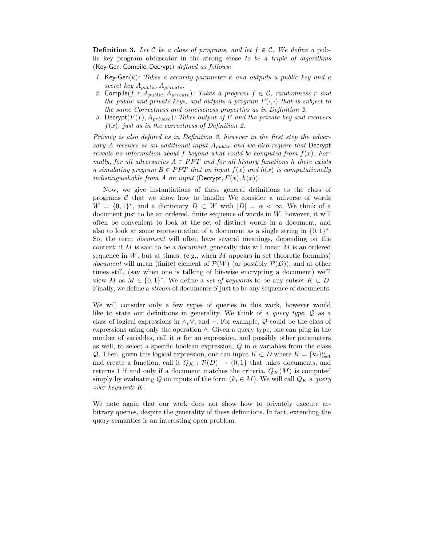**Definition 3.** Let C be a class of programs, and let  $f \in \mathcal{C}$ . We define a public key program obfuscator in the strong sense to be a triple of algorithms (Key-Gen, Compile, Decrypt) defined as follows:

- 1. Key-Gen $(k)$ : Takes a security parameter k and outputs a public key and a secret key  $A_{public}$ ,  $A_{private}$ .
- 2. Compile(f, r,  $A_{public}$ ,  $A_{private}$ ): Takes a program  $f \in \mathcal{C}$ , randomness r and the public and private keys, and outputs a program  $F(\cdot, \cdot)$  that is subject to the same Correctness and conciseness properties as in Definition 2.
- 3. Decrypt( $F(x)$ ,  $A_{private}$ ): Takes output of F and the private key and recovers  $f(x)$ , just as in the correctness of Definition 2.

Privacy is also defined as in Definition 2, however in the first step the adversary A receives as an additional input  $A_{public}$  and we also require that Decrypt reveals no information about f beyond what could be computed from  $f(x)$ : Formally, for all adversaries  $A \in PPT$  and for all history functions h there exists a simulating program  $B \in PPT$  that on input  $f(x)$  and  $h(x)$  is computationally indistinguishable from A on input (Decrypt,  $F(x)$ ,  $h(x)$ ).

Now, we give instantiations of these general definitions to the class of programs  $\mathcal C$  that we show how to handle: We consider a universe of words  $W = \{0,1\}^*$ , and a dictionary  $D \subset W$  with  $|D| = \alpha < \infty$ . We think of a document just to be an ordered, finite sequence of words in W, however, it will often be convenient to look at the set of distinct words in a document, and also to look at some representation of a document as a single string in  $\{0,1\}^*$ . So, the term document will often have several meanings, depending on the context: if M is said to be a document, generally this will mean M is an ordered sequence in  $W$ , but at times, (e.g., when M appears in set theoretic formulas) *document* will mean (finite) element of  $\mathcal{P}(W)$  (or possibly  $\mathcal{P}(D)$ ), and at other times still, (say when one is talking of bit-wise encrypting a document) we'll view M as  $M \in \{0,1\}^*$ . We define a set of keywords to be any subset  $K \subset D$ . Finally, we define a *stream* of documents S just to be any sequence of documents.

We will consider only a few types of queries in this work, however would like to state our definitions in generality. We think of a *query type*,  $\mathcal Q$  as a class of logical expressions in  $\wedge$ ,  $\vee$ , and  $\neg$ . For example, Q could be the class of expressions using only the operation ∧. Given a query type, one can plug in the number of variables, call it  $\alpha$  for an expression, and possibly other parameters as well, to select a specific boolean expression,  $Q$  in  $\alpha$  variables from the class Q. Then, given this logical expression, one can input  $K \subset D$  where  $K = \{k_i\}_{i=1}^{\alpha}$ and create a function, call it  $Q_K : \mathcal{P}(D) \to \{0,1\}$  that takes documents, and returns 1 if and only if a document matches the criteria.  $Q_K(M)$  is computed simply by evaluating Q on inputs of the form  $(k_i \in M)$ . We will call  $Q_K$  a query over keywords K.

We note again that our work does not show how to privately execute arbitrary queries, despite the generality of these definitions. In fact, extending the query semantics is an interesting open problem.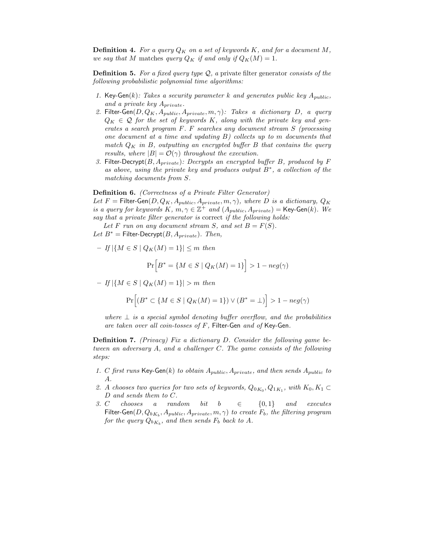**Definition 4.** For a query  $Q_K$  on a set of keywords K, and for a document M, we say that M matches query  $Q_K$  if and only if  $Q_K(M) = 1$ .

**Definition 5.** For a fixed query type  $Q$ , a private filter generator consists of the following probabilistic polynomial time algorithms:

- 1. Key-Gen(k): Takes a security parameter k and generates public key  $A_{public}$ , and a private key  $A_{private}$ .
- 2. Filter-Gen $(D, Q_K, A_{public}, A_{private}, m, \gamma)$ : Takes a dictionary D, a query  $Q_K \in \mathcal{Q}$  for the set of keywords K, along with the private key and generates a search program F. F searches any document stream S (processing one document at a time and updating B) collects up to m documents that match  $Q_K$  in B, outputting an encrypted buffer B that contains the query results, where  $|B| = \mathcal{O}(\gamma)$  throughout the execution.
- 3. Filter-Decrypt $(B, A_{private})$ : Decrypts an encrypted buffer B, produced by F as above, using the private key and produces output B<sup>∗</sup> , a collection of the matching documents from S.

Definition 6. (Correctness of a Private Filter Generator)

Let F = Filter-Gen $(D, Q_K, A_{public}, A_{private}, m, \gamma)$ , where D is a dictionary,  $Q_K$ is a query for keywords K,  $m, \gamma \in \mathbb{Z}^+$  and  $(A_{public}, A_{private}) = \textsf{Key-Gen}(k)$ . We say that a private filter generator is correct if the following holds:

Let F run on any document stream S, and set  $B = F(S)$ .

Let  $B^* =$  Filter-Decrypt $(B, A_{private})$ . Then,

– If  $|\{M \in S \mid Q_K(M) = 1\}| \le m$  then

$$
\Pr\Big[B^* = \{M \in S \mid Q_K(M) = 1\}\Big] > 1-neg(\gamma)
$$

 $- If |\{M \in S \mid Q_K(M) = 1\}| > m$  then

$$
\Pr\Bigl[\bigl(B^*\subset \{M\in S\mid Q_K(M)=1\}\bigr)\vee \bigl(B^*=\bot\bigr)\Bigr]>1-neg(\gamma)
$$

where  $\perp$  is a special symbol denoting buffer overflow, and the probabilities are taken over all coin-tosses of  $F$ , Filter-Gen and of Key-Gen.

Definition 7. (Privacy) Fix a dictionary D. Consider the following game between an adversary A, and a challenger C. The game consists of the following steps:

- 1. C first runs Key-Gen(k) to obtain  $A_{public}$ ,  $A_{private}$ , and then sends  $A_{public}$  to A.
- 2. A chooses two queries for two sets of keywords,  $Q_{0K_0}, Q_{1K_1}$ , with  $K_0, K_1 \subset$ D and sends them to C.
- 3. C chooses a random bit b  $\in$  {0,1} and executes Filter-Gen $(D,Q_{bK_b},A_{public},A_{private},m,\gamma)$  to create  $F_b,$  the filtering program for the query  $Q_{bK_b}$ , and then sends  $F_b$  back to  $A$ .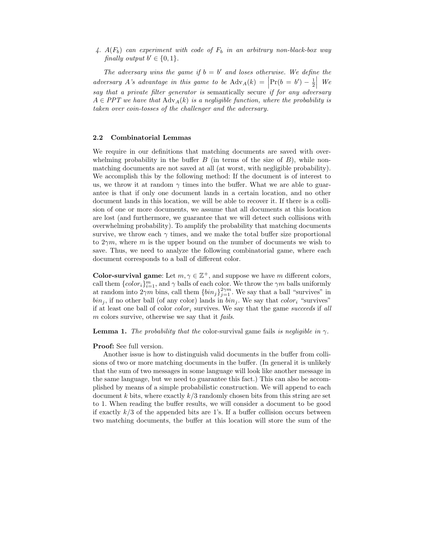4.  $A(F_b)$  can experiment with code of  $F_b$  in an arbitrary non-black-box way finally output  $b' \in \{0, 1\}.$ 

The adversary wins the game if  $b = b'$  and loses otherwise. We define the adversary A's advantage in this game to be  $\text{Adv}_A(k) = \left| \Pr(b = b') - \frac{1}{2} \right|$  $\Big\vert$  We say that a private filter generator is semantically secure if for any adversary  $A \in PPT$  we have that  $\text{Adv}_{A}(k)$  is a negligible function, where the probability is taken over coin-tosses of the challenger and the adversary.

#### 2.2 Combinatorial Lemmas

We require in our definitions that matching documents are saved with overwhelming probability in the buffer  $B$  (in terms of the size of  $B$ ), while nonmatching documents are not saved at all (at worst, with negligible probability). We accomplish this by the following method: If the document is of interest to us, we throw it at random  $\gamma$  times into the buffer. What we are able to guarantee is that if only one document lands in a certain location, and no other document lands in this location, we will be able to recover it. If there is a collision of one or more documents, we assume that all documents at this location are lost (and furthermore, we guarantee that we will detect such collisions with overwhelming probability). To amplify the probability that matching documents survive, we throw each  $\gamma$  times, and we make the total buffer size proportional to  $2\gamma m$ , where m is the upper bound on the number of documents we wish to save. Thus, we need to analyze the following combinatorial game, where each document corresponds to a ball of different color.

**Color-survival game**: Let  $m, \gamma \in \mathbb{Z}^+$ , and suppose we have m different colors, call them  $\{color_i\}_{i=1}^m$ , and  $\gamma$  balls of each color. We throw the  $\gamma m$  balls uniformly at random into  $2\gamma m$  bins, call them  $\{bin_j\}_{j=1}^{2\gamma m}$ . We say that a ball "survives" in  $bin_j$ , if no other ball (of any color) lands in  $bin_j$ . We say that  $color_i$  "survives" if at least one ball of color  $color_i$  survives. We say that the game succeeds if all m colors survive, otherwise we say that it *fails*.

#### **Lemma 1.** The probability that the color-survival game fails is negligible in  $\gamma$ .

#### Proof: See full version.

Another issue is how to distinguish valid documents in the buffer from collisions of two or more matching documents in the buffer. (In general it is unlikely that the sum of two messages in some language will look like another message in the same language, but we need to guarantee this fact.) This can also be accomplished by means of a simple probabilistic construction. We will append to each document k bits, where exactly  $k/3$  randomly chosen bits from this string are set to 1. When reading the buffer results, we will consider a document to be good if exactly  $k/3$  of the appended bits are 1's. If a buffer collision occurs between two matching documents, the buffer at this location will store the sum of the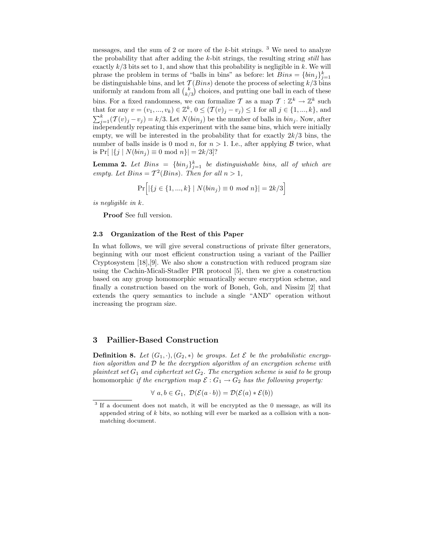messages, and the sum of 2 or more of the  $k$ -bit strings. <sup>3</sup> We need to analyze the probability that after adding the  $k$ -bit strings, the resulting string still has exactly  $k/3$  bits set to 1, and show that this probability is negligible in k. We will phrase the problem in terms of "balls in bins" as before: let  $Bins = \{bin_j\}_{j=1}^k$ be distinguishable bins, and let  $\mathcal{T}(Bins)$  denote the process of selecting  $k/3$  bins uniformly at random from all  $\binom{k}{k/3}$  choices, and putting one ball in each of these bins. For a fixed randomness, we can formalize T as a map  $T: \mathbb{Z}^k \to \mathbb{Z}^k$  such that for any  $v = (v_1, ..., v_k) \in \mathbb{Z}^k$ ,  $0 \leq (\mathcal{T}(v)_j - v_j) \leq 1$  for all  $j \in \{1, ..., k\}$ , and  $\sum_{j=1}^{k} (T(v)_j - v_j) = k/3$ . Let  $N(bin_j)$  be the number of balls in  $bin_j$ . Now, after independently repeating this experiment with the same bins, which were initially empty, we will be interested in the probability that for exactly  $2k/3$  bins, the number of balls inside is 0 mod n, for  $n > 1$ . I.e., after applying  $\beta$  twice, what is  $Pr[ |{j | N(bin<sub>i</sub>) \equiv 0 \text{ mod } n}| = 2k/3$ ?

**Lemma 2.** Let  $Bins = \{bin_j\}_{j=1}^k$  be distinguishable bins, all of which are empty. Let  $Bins = T^2(Bins)$ . Then for all  $n > 1$ ,

$$
Pr\Big[ |\{ j \in \{1, ..., k\} \mid N(bin_j) \equiv 0 \mod n \}| = 2k/3 \Big]
$$

is negligible in k.

Proof See full version.

#### 2.3 Organization of the Rest of this Paper

In what follows, we will give several constructions of private filter generators, beginning with our most efficient construction using a variant of the Paillier Cryptosystem [18],[9]. We also show a construction with reduced program size using the Cachin-Micali-Stadler PIR protocol [5], then we give a construction based on any group homomorphic semantically secure encryption scheme, and finally a construction based on the work of Boneh, Goh, and Nissim [2] that extends the query semantics to include a single "AND" operation without increasing the program size.

#### 3 Paillier-Based Construction

**Definition 8.** Let  $(G_1, \cdot), (G_2, \ast)$  be groups. Let  $\mathcal E$  be the probabilistic encryption algorithm and D be the decryption algorithm of an encryption scheme with plaintext set  $G_1$  and ciphertext set  $G_2$ . The encryption scheme is said to be group homomorphic if the encryption map  $\mathcal{E}: G_1 \to G_2$  has the following property:

 $\forall a, b \in G_1$ ,  $\mathcal{D}(\mathcal{E}(a \cdot b)) = \mathcal{D}(\mathcal{E}(a) * \mathcal{E}(b))$ 

<sup>&</sup>lt;sup>3</sup> If a document does not match, it will be encrypted as the 0 message, as will its appended string of k bits, so nothing will ever be marked as a collision with a nonmatching document.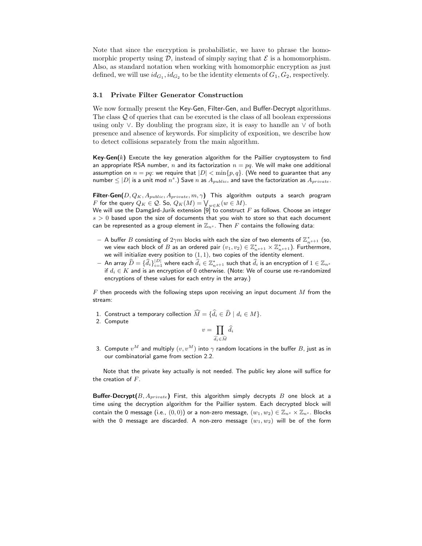Note that since the encryption is probabilistic, we have to phrase the homomorphic property using  $\mathcal{D}$ , instead of simply saying that  $\mathcal E$  is a homomorphism. Also, as standard notation when working with homomorphic encryption as just defined, we will use  $id_{G_1}, id_{G_2}$  to be the identity elements of  $G_1, G_2$ , respectively.

#### 3.1 Private Filter Generator Construction

We now formally present the Key-Gen, Filter-Gen, and Buffer-Decrypt algorithms. The class Q of queries that can be executed is the class of all boolean expressions using only ∨. By doubling the program size, it is easy to handle an ∨ of both presence and absence of keywords. For simplicity of exposition, we describe how to detect collisions separately from the main algorithm.

**Key-Gen(k)** Execute the key generation algorithm for the Paillier cryptosystem to find an appropriate RSA number, n and its factorization  $n = pq$ . We will make one additional assumption on  $n = pq$ : we require that  $|D| < \min\{p, q\}$ . (We need to guarantee that any number  $\leq |D|$  is a unit mod  $n^s.$  ) Save  $n$  as  $A_{public}$  and save the factorization as  $A_{private}.$ 

Filter-Gen( $D, Q_K, A_{public}, A_{private}, m, \gamma$ ) This algorithm outputs a search program F for the query  $Q_K \in \mathcal{Q}$ . So,  $Q_K(M) = \bigvee_{w \in K} (w \in M)$ .

We will use the Damgård-Jurik extension [9] to construct  $F$  as follows. Choose an integer  $s > 0$  based upon the size of documents that you wish to store so that each document can be represented as a group element in  $\mathbb{Z}_{n^s}$ . Then F contains the following data:

- $-$  A buffer  $B$  consisting of  $2\gamma m$  blocks with each the size of two elements of  $\mathbb{Z}_{n^{s+1}}^*$  (so, we view each block of  $B$  as an ordered pair  $(v_1, v_2) \in \mathbb{Z}_{n^{s+1}}^* \times \mathbb{Z}_{n^{s+1}}^*$ ). Furthermore, we will initialize every position to  $(1,1)$ , two copies of the identity element.
- $-$  An array  $\widehat D=\{\widehat d_i\}_{i=1}^{|D|}$  where each  $\widehat d_i\in\mathbb{Z}_{n^s+1}^*$  such that  $\widehat d_i$  is an encryption of  $1\in\mathbb{Z}_{n^s}$ if  $d_i \in K$  and is an encryption of 0 otherwise. (Note: We of course use re-randomized encryptions of these values for each entry in the array.)

 $F$  then proceeds with the following steps upon receiving an input document  $M$  from the stream:

- 1. Construct a temporary collection  $\widehat{M} = \{\widehat{d}_i \in \widehat{D} \mid d_i \in M\}.$
- 2. Compute

$$
v = \prod_{\widehat{d_i} \in \widehat{M}} \widehat{d_i}
$$

3. Compute  $v^M$  and multiply  $(v,v^M)$  into  $\gamma$  random locations in the buffer  $B$ , just as in our combinatorial game from section 2.2.

Note that the private key actually is not needed. The public key alone will suffice for the creation of  $F$ .

**Buffer-Decrypt** $(B, A_{private})$  First, this algorithm simply decrypts B one block at a time using the decryption algorithm for the Paillier system. Each decrypted block will contain the 0 message (i.e.,  $(0,0)$ ) or a non-zero message,  $(w_1, w_2) \in \mathbb{Z}_{n^s} \times \mathbb{Z}_{n^s}$ . Blocks with the 0 message are discarded. A non-zero message  $(w_1, w_2)$  will be of the form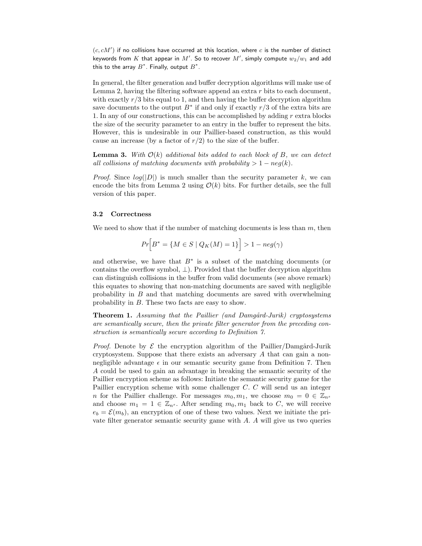$(c, cM')$  if no collisions have occurred at this location, where  $c$  is the number of distinct keywords from  $K$  that appear in  $M'.$  So to recover  $M',$  simply compute  $w_2/w_1$  and add this to the array  $B^*$ . Finally, output  $B^*$ .

In general, the filter generation and buffer decryption algorithms will make use of Lemma 2, having the filtering software append an extra  $r$  bits to each document, with exactly  $r/3$  bits equal to 1, and then having the buffer decryption algorithm save documents to the output  $B^*$  if and only if exactly  $r/3$  of the extra bits are 1. In any of our constructions, this can be accomplished by adding r extra blocks the size of the security parameter to an entry in the buffer to represent the bits. However, this is undesirable in our Paillier-based construction, as this would cause an increase (by a factor of  $r/2$ ) to the size of the buffer.

**Lemma 3.** With  $\mathcal{O}(k)$  additional bits added to each block of B, we can detect all collisions of matching documents with probability  $> 1 - neg(k)$ .

*Proof.* Since  $log(|D|)$  is much smaller than the security parameter k, we can encode the bits from Lemma 2 using  $\mathcal{O}(k)$  bits. For further details, see the full version of this paper.

#### 3.2 Correctness

We need to show that if the number of matching documents is less than  $m$ , then

$$
Pr\Big[B^* = \{M \in S \mid Q_K(M) = 1\}\Big] > 1 - neg(\gamma)
$$

and otherwise, we have that  $B^*$  is a subset of the matching documents (or contains the overflow symbol,  $\perp$ ). Provided that the buffer decryption algorithm can distinguish collisions in the buffer from valid documents (see above remark) this equates to showing that non-matching documents are saved with negligible probability in  $B$  and that matching documents are saved with overwhelming probability in B. These two facts are easy to show.

**Theorem 1.** Assuming that the Paillier (and Damgård-Jurik) cryptosystems are semantically secure, then the private filter generator from the preceding construction is semantically secure according to Definition 7.

*Proof.* Denote by  $\mathcal E$  the encryption algorithm of the Paillier/Damgård-Jurik cryptosystem. Suppose that there exists an adversary  $A$  that can gain a nonnegligible advantage  $\epsilon$  in our semantic security game from Definition 7. Then A could be used to gain an advantage in breaking the semantic security of the Paillier encryption scheme as follows: Initiate the semantic security game for the Paillier encryption scheme with some challenger C. C will send us an integer n for the Paillier challenge. For messages  $m_0, m_1$ , we choose  $m_0 = 0 \in \mathbb{Z}_{n^s}$ and choose  $m_1 = 1 \in \mathbb{Z}_{n^s}$ . After sending  $m_0, m_1$  back to C, we will receive  $e_b = \mathcal{E}(m_b)$ , an encryption of one of these two values. Next we initiate the private filter generator semantic security game with A. A will give us two queries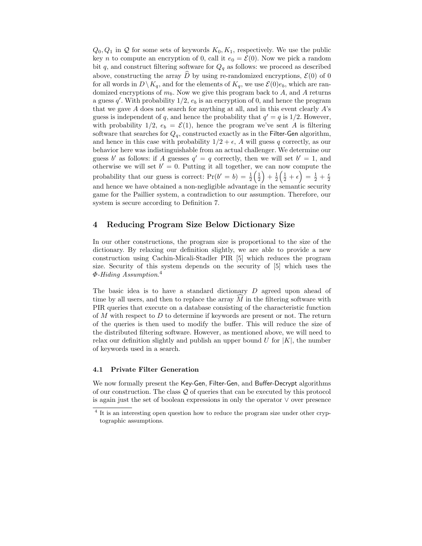$Q_0, Q_1$  in Q for some sets of keywords  $K_0, K_1$ , respectively. We use the public key *n* to compute an encryption of 0, call it  $e_0 = \mathcal{E}(0)$ . Now we pick a random bit q, and construct filtering software for  $Q_q$  as follows: we proceed as described above, constructing the array  $\hat{D}$  by using re-randomized encryptions,  $\mathcal{E}(0)$  of 0 for all words in  $D \backslash K_q$ , and for the elements of  $K_q$ , we use  $\mathcal{E}(0)e_b$ , which are randomized encryptions of  $m_b$ . Now we give this program back to A, and A returns a guess  $q'$ . With probability  $1/2$ ,  $e<sub>b</sub>$  is an encryption of 0, and hence the program that we gave  $A$  does not search for anything at all, and in this event clearly  $A$ 's guess is independent of q, and hence the probability that  $q' = q$  is 1/2. However, with probability  $1/2$ ,  $e_b = \mathcal{E}(1)$ , hence the program we've sent A is filtering software that searches for  ${\cal Q}_q,$  constructed exactly as in the Filter-Gen algorithm, and hence in this case with probability  $1/2 + \epsilon$ , A will guess q correctly, as our behavior here was indistinguishable from an actual challenger. We determine our guess b' as follows: if A guesses  $q' = q$  correctly, then we will set  $b' = 1$ , and otherwise we will set  $b' = 0$ . Putting it all together, we can now compute the probability that our guess is correct:  $Pr(b' = b) = \frac{1}{2}$  $\left(\frac{1}{2}\right)$  $+ \frac{1}{2}$  $\left(\frac{1}{2}+\epsilon\right)=\frac{1}{2}+\frac{\epsilon}{2}$ and hence we have obtained a non-negligible advantage in the semantic security game for the Paillier system, a contradiction to our assumption. Therefore, our system is secure according to Definition 7.

# 4 Reducing Program Size Below Dictionary Size

In our other constructions, the program size is proportional to the size of the dictionary. By relaxing our definition slightly, we are able to provide a new construction using Cachin-Micali-Stadler PIR [5] which reduces the program size. Security of this system depends on the security of [5] which uses the  $\varPhi$ -Hiding Assumption.<sup>4</sup>

The basic idea is to have a standard dictionary D agreed upon ahead of time by all users, and then to replace the array  $\widehat{M}$  in the filtering software with PIR queries that execute on a database consisting of the characteristic function of M with respect to D to determine if keywords are present or not. The return of the queries is then used to modify the buffer. This will reduce the size of the distributed filtering software. However, as mentioned above, we will need to relax our definition slightly and publish an upper bound U for  $|K|$ , the number of keywords used in a search.

#### 4.1 Private Filter Generation

We now formally present the Key-Gen, Filter-Gen, and Buffer-Decrypt algorithms of our construction. The class  $\mathcal Q$  of queries that can be executed by this protocol is again just the set of boolean expressions in only the operator ∨ over presence

<sup>&</sup>lt;sup>4</sup> It is an interesting open question how to reduce the program size under other cryptographic assumptions.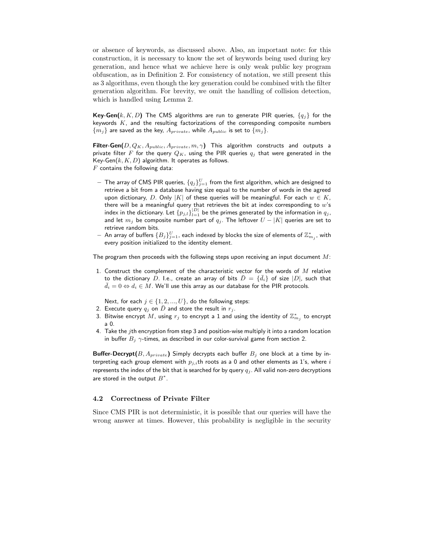or absence of keywords, as discussed above. Also, an important note: for this construction, it is necessary to know the set of keywords being used during key generation, and hence what we achieve here is only weak public key program obfuscation, as in Definition 2. For consistency of notation, we still present this as 3 algorithms, even though the key generation could be combined with the filter generation algorithm. For brevity, we omit the handling of collision detection, which is handled using Lemma 2.

**Key-Gen(**k, K, D) The CMS algorithms are run to generate PIR queries,  $\{q_i\}$  for the keywords  $K$ , and the resulting factorizations of the corresponding composite numbers  ${m_j}$  are saved as the key,  $A_{private}$ , while  $A_{public}$  is set to  ${m_j}$ .

Filter-Gen $(D, Q_K, A_{public}, A_{private}, m, \gamma)$  This algorithm constructs and outputs a private filter F for the query  $Q_K$ , using the PIR queries  $q_i$  that were generated in the Key-Gen $(k, K, D)$  algorithm. It operates as follows.  $F$  contains the following data:

- $-$  The array of CMS PIR queries,  $\{q_j\}_{j=1}^U$  from the first algorithm, which are designed to retrieve a bit from a database having size equal to the number of words in the agreed upon dictionary, D. Only |K| of these queries will be meaningful. For each  $w \in K$ , there will be a meaningful query that retrieves the bit at index corresponding to  $w$ 's index in the dictionary. Let  $\{p_{j,l}\}_{l=1}^{|D|}$  be the primes generated by the information in  $q_j$ , and let  $m_j$  be composite number part of  $q_j$ . The leftover  $U - |K|$  queries are set to retrieve random bits
- $-$  An array of buffers  $\{B_j\}_{j=1}^U$ , each indexed by blocks the size of elements of  $\mathbb{Z}_{m_j}^*$ , with every position initialized to the identity element.

The program then proceeds with the following steps upon receiving an input document  $M$ :

1. Construct the complement of the characteristic vector for the words of  $M$  relative to the dictionary D. I.e., create an array of bits  $\bar{D} = \{\bar{d}_i\}$  of size  $|D|$ , such that  $\bar{d}_i = 0 \Leftrightarrow d_i \in M$ . We'll use this array as our database for the PIR protocols.

Next, for each  $j \in \{1, 2, ..., U\}$ , do the following steps:

- 2. Execute query  $q_i$  on D and store the result in  $r_i$ .
- 3. Bitwise encrypt  $\overline{M}$ , using  $r_j$  to encrypt a 1 and using the identity of  $\mathbb{Z}_{m_j}^*$  to encrypt a 0.
- 4. Take the jth encryption from step 3 and position-wise multiply it into a random location in buffer  $B_i$   $\gamma$ -times, as described in our color-survival game from section 2.

**Buffer-Decrypt**( $B, A_{private}$ ) Simply decrypts each buffer  $B_j$  one block at a time by interpreting each group element with  $p_{j,i}$ th roots as a 0 and other elements as 1's, where i represents the index of the bit that is searched for by query  $q_j$ . All valid non-zero decryptions are stored in the output  $B^*$ .

#### 4.2 Correctness of Private Filter

Since CMS PIR is not deterministic, it is possible that our queries will have the wrong answer at times. However, this probability is negligible in the security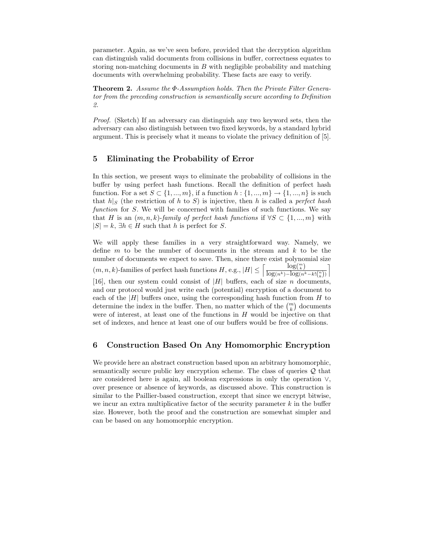parameter. Again, as we've seen before, provided that the decryption algorithm can distinguish valid documents from collisions in buffer, correctness equates to storing non-matching documents in  $B$  with negligible probability and matching documents with overwhelming probability. These facts are easy to verify.

Theorem 2. Assume the Φ-Assumption holds. Then the Private Filter Generator from the preceding construction is semantically secure according to Definition 2.

Proof. (Sketch) If an adversary can distinguish any two keyword sets, then the adversary can also distinguish between two fixed keywords, by a standard hybrid argument. This is precisely what it means to violate the privacy definition of [5].

# 5 Eliminating the Probability of Error

In this section, we present ways to eliminate the probability of collisions in the buffer by using perfect hash functions. Recall the definition of perfect hash function. For a set  $S \subset \{1, ..., m\}$ , if a function  $h: \{1, ..., m\} \to \{1, ..., n\}$  is such that  $h|S$  (the restriction of h to S) is injective, then h is called a perfect hash function for  $S$ . We will be concerned with families of such functions. We say that H is an  $(m, n, k)$ -family of perfect hash functions if  $\forall S \subset \{1, ..., m\}$  with  $|S| = k$ ,  $\exists h \in H$  such that h is perfect for S.

We will apply these families in a very straightforward way. Namely, we define  $m$  to be the number of documents in the stream and  $k$  to be the number of documents we expect to save. Then, since there exist polynomial size  $(m, n, k)$ -families of perfect hash functions  $H$ , e.g.,  $|H| \leq \left[\frac{\log(\frac{m}{k})}{\log(\frac{1}{k}) - \log(\frac{1}{k})}\right]$  $\log(n^k) - \log(n^k - k!{n \choose k})$  $\overline{1}$ [16], then our system could consist of  $|H|$  buffers, each of size n documents, and our protocol would just write each (potential) encryption of a document to each of the  $|H|$  buffers once, using the corresponding hash function from H to determine the index in the buffer. Then, no matter which of the  $\binom{m}{k}$  documents were of interest, at least one of the functions in  $H$  would be injective on that set of indexes, and hence at least one of our buffers would be free of collisions.

# 6 Construction Based On Any Homomorphic Encryption

We provide here an abstract construction based upon an arbitrary homomorphic, semantically secure public key encryption scheme. The class of queries  $\mathcal Q$  that are considered here is again, all boolean expressions in only the operation ∨, over presence or absence of keywords, as discussed above. This construction is similar to the Paillier-based construction, except that since we encrypt bitwise, we incur an extra multiplicative factor of the security parameter  $k$  in the buffer size. However, both the proof and the construction are somewhat simpler and can be based on any homomorphic encryption.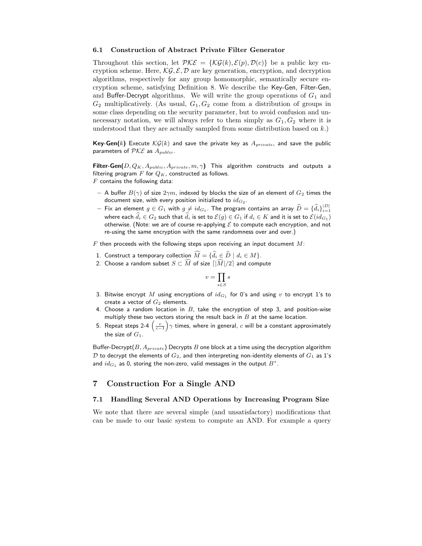#### 6.1 Construction of Abstract Private Filter Generator

Throughout this section, let  $\mathcal{PKE} = \{\mathcal{KG}(k), \mathcal{E}(p), \mathcal{D}(c)\}\$ be a public key encryption scheme. Here,  $\mathcal{KG}, \mathcal{E}, \mathcal{D}$  are key generation, encryption, and decryption algorithms, respectively for any group homomorphic, semantically secure encryption scheme, satisfying Definition 8. We describe the Key-Gen, Filter-Gen, and Buffer-Decrypt algorithms. We will write the group operations of  $G_1$  and  $G_2$  multiplicatively. (As usual,  $G_1, G_2$  come from a distribution of groups in some class depending on the security parameter, but to avoid confusion and unnecessary notation, we will always refer to them simply as  $G_1, G_2$  where it is understood that they are actually sampled from some distribution based on  $k$ .)

Key-Gen(k) Execute  $\mathcal{KG}(k)$  and save the private key as  $A_{private}$ , and save the public parameters of  $\mathcal{PKE}$  as  $A_{public}$ .

Filter-Gen $(D, Q_K, A_{public}, A_{private}, m, \gamma)$  This algorithm constructs and outputs a filtering program  $F$  for  $Q_K$ , constructed as follows.  $F$  contains the following data:

- A buffer  $B(\gamma)$  of size  $2\gamma m$ , indexed by blocks the size of an element of  $G_2$  times the document size, with every position initialized to  $id_{G_2}.$
- $-$  Fix an element  $g\in G_1$  with  $g\neq id_{G_1}.$  The program contains an array  $\widehat{D}=\{\widehat{d}_i\}_{i=1}^{|D|}$ where each  $d_i \in G_2$  such that  $d_i$  is set to  $\mathcal{E}(g) \in G_1$  if  $d_i \in K$  and it is set to  $\mathcal{E}(id_{G_1})$ otherwise. (Note: we are of course re-applying  $\mathcal E$  to compute each encryption, and not re-using the same encryption with the same randomness over and over.)

 $F$  then proceeds with the following steps upon receiving an input document  $M$ :

- 1. Construct a temporary collection  $\widehat{M} = \{\widehat{d}_i \in \widehat{D} \mid d_i \in M\}.$
- 2. Choose a random subset  $S \subset \widehat{M}$  of size  $\lceil |\widehat{M}|/2 \rceil$  and compute

$$
v=\prod_{s\in S}s
$$

- 3. Bitwise encrypt  $M$  using encryptions of  $id_{G_1}$  for 0's and using  $v$  to encrypt 1's to create a vector of  $G_2$  elements.
- 4. Choose a random location in  $B$ , take the encryption of step 3, and position-wise multiply these two vectors storing the result back in  $B$  at the same location.
- 5. Repeat steps 2-4  $\left(\frac{c}{c-1}\right)$  $\gamma$  times, where in general, c will be a constant approximately the size of  $G_1$ .

Buffer-Decrypt $(B, A_{private})$  Decrypts B one block at a time using the decryption algorithm  $D$  to decrypt the elements of  $G_2$ , and then interpreting non-identity elements of  $G_1$  as 1's and  $id_{G_1}$  as 0, storing the non-zero, valid messages in the output  $B^\ast.$ 

## 7 Construction For a Single AND

#### 7.1 Handling Several AND Operations by Increasing Program Size

We note that there are several simple (and unsatisfactory) modifications that can be made to our basic system to compute an AND. For example a query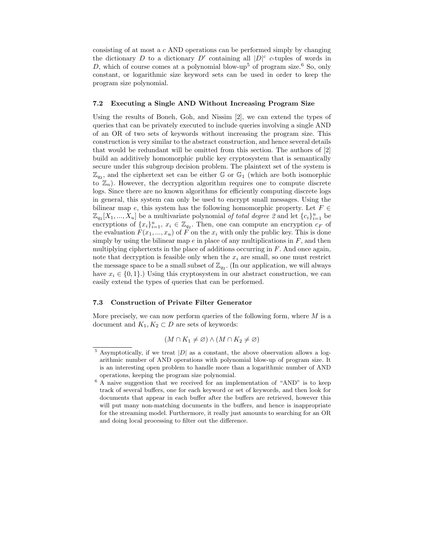consisting of at most a c AND operations can be performed simply by changing the dictionary D to a dictionary D' containing all  $|D|^c$  c-tuples of words in D, which of course comes at a polynomial blow-up<sup>5</sup> of program size.<sup>6</sup> So, only constant, or logarithmic size keyword sets can be used in order to keep the program size polynomial.

#### 7.2 Executing a Single AND Without Increasing Program Size

Using the results of Boneh, Goh, and Nissim [2], we can extend the types of queries that can be privately executed to include queries involving a single AND of an OR of two sets of keywords without increasing the program size. This construction is very similar to the abstract construction, and hence several details that would be redundant will be omitted from this section. The authors of [2] build an additively homomorphic public key cryptosystem that is semantically secure under this subgroup decision problem. The plaintext set of the system is  $\mathbb{Z}_{q_2}$ , and the ciphertext set can be either G or  $\mathbb{G}_1$  (which are both isomorphic to  $\mathbb{Z}_n$ ). However, the decryption algorithm requires one to compute discrete logs. Since there are no known algorithms for efficiently computing discrete logs in general, this system can only be used to encrypt small messages. Using the bilinear map e, this system has the following homomorphic property. Let  $F \in$  $\mathbb{Z}_{q_2}[X_1, ..., X_u]$  be a multivariate polynomial of total degree 2 and let  $\{c_i\}_{i=1}^u$  be encryptions of  $\{x_i\}_{i=1}^u$ ,  $x_i \in \mathbb{Z}_{q_2}$ . Then, one can compute an encryption  $c_F$  of the evaluation  $F(x_1, ..., x_u)$  of F on the  $x_i$  with only the public key. This is done simply by using the bilinear map  $e$  in place of any multiplications in  $F$ , and then multiplying ciphertexts in the place of additions occurring in  $F$ . And once again, note that decryption is feasible only when the  $x_i$  are small, so one must restrict the message space to be a small subset of  $\mathbb{Z}_{q_2}$ . (In our application, we will always have  $x_i \in \{0, 1\}$ .) Using this cryptosystem in our abstract construction, we can easily extend the types of queries that can be performed.

#### 7.3 Construction of Private Filter Generator

More precisely, we can now perform queries of the following form, where  $M$  is a document and  $K_1, K_2 \subset D$  are sets of keywords:

$$
(M \cap K_1 \neq \varnothing) \land (M \cap K_2 \neq \varnothing)
$$

 $5$  Asymptotically, if we treat  $|D|$  as a constant, the above observation allows a logarithmic number of AND operations with polynomial blow-up of program size. It is an interesting open problem to handle more than a logarithmic number of AND operations, keeping the program size polynomial.

 $6$  A naive suggestion that we received for an implementation of "AND" is to keep track of several buffers, one for each keyword or set of keywords, and then look for documents that appear in each buffer after the buffers are retrieved, however this will put many non-matching documents in the buffers, and hence is inappropriate for the streaming model. Furthermore, it really just amounts to searching for an OR and doing local processing to filter out the difference.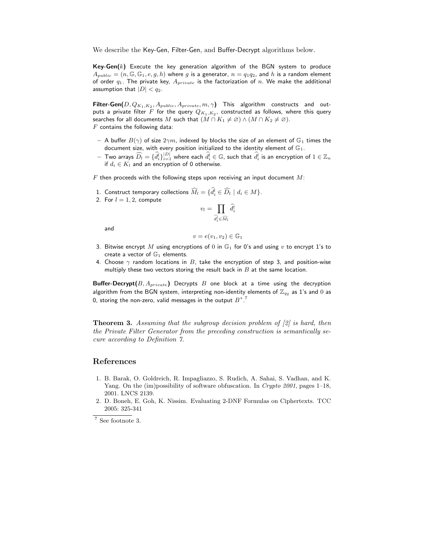We describe the Key-Gen, Filter-Gen, and Buffer-Decrypt algorithms below.

**Key-Gen(k)** Execute the key generation algorithm of the BGN system to produce  $A_{public} = (n, \mathbb{G}, \mathbb{G}_1, e, g, h)$  where g is a generator,  $n = q_1q_2$ , and h is a random element of order  $q_1$ . The private key,  $A_{private}$  is the factorization of n. We make the additional assumption that  $|D| < q_2$ .

Filter-Gen $(D, Q_{K_1, K_2}, A_{public}, A_{private}, m, \gamma)$  This algorithm constructs and outputs a private filter  $F$  for the query  $Q_{K_1, K_2}$ , constructed as follows, where this query searches for all documents M such that  $(M \cap K_1 \neq \emptyset) \wedge (M \cap K_2 \neq \emptyset)$ .  $F$  contains the following data:

- A buffer  $B(\gamma)$  of size  $2\gamma m$ , indexed by blocks the size of an element of  $\mathbb{G}_1$  times the document size, with every position initialized to the identity element of  $\mathbb{G}_1$ .
- $-$  Two arrays  $\widehat{D}_l=\{\widehat{d}_i^l\}_{i=1}^{|D|}$  where each  $\widehat{d}_i^l\in\mathbb{G}$ , such that  $\widehat{d}_i^l$  is an encryption of  $1\in\mathbb{Z}_n$ if  $d_i \in K_l$  and an encryption of 0 otherwise.

 $F$  then proceeds with the following steps upon receiving an input document  $M$ :

- 1. Construct temporary collections  $\tilde{M}_l = \{d_i^l \in D_l \mid d_i \in M\}.$
- 2. For  $l = 1, 2$ , compute

$$
v_l = \prod_{\widehat{d_i^l} \in \widehat{M_l}} \widehat{d_i^l}
$$

and

$$
v = e(v_1, v_2) \in \mathbb{G}_1
$$

- 3. Bitwise encrypt M using encryptions of 0 in  $\mathbb{G}_1$  for 0's and using v to encrypt 1's to create a vector of  $\mathbb{G}_1$  elements.
- 4. Choose  $\gamma$  random locations in B, take the encryption of step 3, and position-wise multiply these two vectors storing the result back in  $B$  at the same location.

Buffer-Decrypt $(B, A_{private})$  Decrypts B one block at a time using the decryption algorithm from the BGN system, interpreting non-identity elements of  $\mathbb{Z}_{q_2}$  as 1's and 0 as 0, storing the non-zero, valid messages in the output  $B^{\ast}$  .  $^7$ 

**Theorem 3.** Assuming that the subgroup decision problem of [2] is hard, then the Private Filter Generator from the preceding construction is semantically secure according to Definition 7.

## References

- 1. B. Barak, O. Goldreich, R. Impagliazzo, S. Rudich, A. Sahai, S. Vadhan, and K. Yang. On the (im)possibility of software obfuscation. In Crypto 2001, pages 1–18, 2001. LNCS 2139.
- 2. D. Boneh, E. Goh, K. Nissim. Evaluating 2-DNF Formulas on Ciphertexts. TCC 2005: 325-341

<sup>7</sup> See footnote 3.